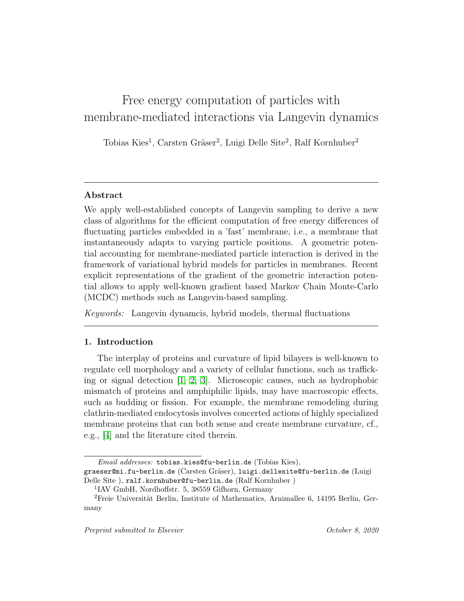# Free energy computation of particles with membrane-mediated interactions via Langevin dynamics

Tobias Kies<sup>1</sup>, Carsten Gräser<sup>2</sup>, Luigi Delle Site<sup>2</sup>, Ralf Kornhuber<sup>2</sup>

# Abstract

We apply well-established concepts of Langevin sampling to derive a new class of algorithms for the efficient computation of free energy differences of fluctuating particles embedded in a 'fast' membrane, i.e., a membrane that instantaneously adapts to varying particle positions. A geometric potential accounting for membrane-mediated particle interaction is derived in the framework of variational hybrid models for particles in membranes. Recent explicit representations of the gradient of the geometric interaction potential allows to apply well-known gradient based Markov Chain Monte-Carlo (MCDC) methods such as Langevin-based sampling.

Keywords: Langevin dynamcis, hybrid models, thermal fluctuations

# 1. Introduction

The interplay of proteins and curvature of lipid bilayers is well-known to regulate cell morphology and a variety of cellular functions, such as trafficking or signal detection [\[1,](#page-14-0) [2,](#page-15-0) [3\]](#page-15-1). Microscopic causes, such as hydrophobic mismatch of proteins and amphiphilic lipids, may have macroscopic effects, such as budding or fission. For example, the membrane remodeling during clathrin-mediated endocytosis involves concerted actions of highly specialized membrane proteins that can both sense and create membrane curvature, cf., e.g., [\[4\]](#page-15-2) and the literature cited therein.

Email addresses: tobias.kies@fu-berlin.de (Tobias Kies),

graeser@mi.fu-berlin.de (Carsten Gräser), luigi.dellesite@fu-berlin.de (Luigi Delle Site ), ralf.kornhuber@fu-berlin.de (Ralf Kornhuber )

<sup>1</sup> IAV GmbH, Nordhoffstr. 5, 38559 Gifhorn, Germany

 ${}^{2}$ Freie Universität Berlin, Institute of Mathematics, Arnimallee 6, 14195 Berlin, Germany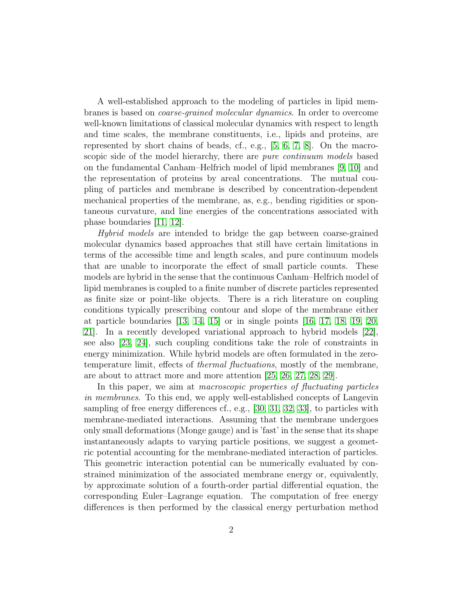A well-established approach to the modeling of particles in lipid membranes is based on coarse-grained molecular dynamics. In order to overcome well-known limitations of classical molecular dynamics with respect to length and time scales, the membrane constituents, i.e., lipids and proteins, are represented by short chains of beads, cf., e.g., [\[5,](#page-15-3) [6,](#page-15-4) [7,](#page-15-5) [8\]](#page-15-6). On the macroscopic side of the model hierarchy, there are *pure continuum models* based on the fundamental Canham–Helfrich model of lipid membranes [\[9,](#page-15-7) [10\]](#page-15-8) and the representation of proteins by areal concentrations. The mutual coupling of particles and membrane is described by concentration-dependent mechanical properties of the membrane, as, e.g., bending rigidities or spontaneous curvature, and line energies of the concentrations associated with phase boundaries [\[11,](#page-15-9) [12\]](#page-15-10).

Hybrid models are intended to bridge the gap between coarse-grained molecular dynamics based approaches that still have certain limitations in terms of the accessible time and length scales, and pure continuum models that are unable to incorporate the effect of small particle counts. These models are hybrid in the sense that the continuous Canham–Helfrich model of lipid membranes is coupled to a finite number of discrete particles represented as finite size or point-like objects. There is a rich literature on coupling conditions typically prescribing contour and slope of the membrane either at particle boundaries [\[13,](#page-15-11) [14,](#page-16-0) [15\]](#page-16-1) or in single points [\[16,](#page-16-2) [17,](#page-16-3) [18,](#page-16-4) [19,](#page-16-5) [20,](#page-16-6) [21\]](#page-16-7). In a recently developed variational approach to hybrid models [\[22\]](#page-16-8), see also [\[23,](#page-16-9) [24\]](#page-17-0), such coupling conditions take the role of constraints in energy minimization. While hybrid models are often formulated in the zerotemperature limit, effects of thermal fluctuations, mostly of the membrane, are about to attract more and more attention [\[25,](#page-17-1) [26,](#page-17-2) [27,](#page-17-3) [28,](#page-17-4) [29\]](#page-17-5).

In this paper, we aim at *macroscopic properties of fluctuating particles* in membranes. To this end, we apply well-established concepts of Langevin sampling of free energy differences cf., e.g., [\[30,](#page-17-6) [31,](#page-17-7) [32,](#page-17-8) [33\]](#page-17-9), to particles with membrane-mediated interactions. Assuming that the membrane undergoes only small deformations (Monge gauge) and is 'fast' in the sense that its shape instantaneously adapts to varying particle positions, we suggest a geometric potential accounting for the membrane-mediated interaction of particles. This geometric interaction potential can be numerically evaluated by constrained minimization of the associated membrane energy or, equivalently, by approximate solution of a fourth-order partial differential equation, the corresponding Euler–Lagrange equation. The computation of free energy differences is then performed by the classical energy perturbation method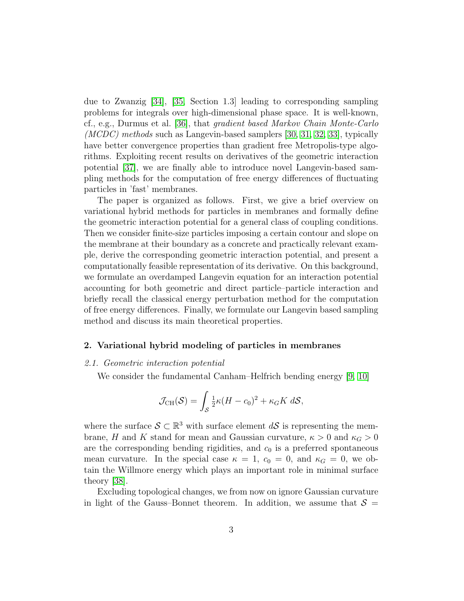due to Zwanzig [\[34\]](#page-17-10), [\[35,](#page-17-11) Section 1.3] leading to corresponding sampling problems for integrals over high-dimensional phase space. It is well-known, cf., e.g., Durmus et al. [\[36\]](#page-18-0), that gradient based Markov Chain Monte-Carlo  $(MCDC)$  methods such as Langevin-based samplers [\[30,](#page-17-6) [31,](#page-17-7) [32,](#page-17-8) [33\]](#page-17-9), typically have better convergence properties than gradient free Metropolis-type algorithms. Exploiting recent results on derivatives of the geometric interaction potential [\[37\]](#page-18-1), we are finally able to introduce novel Langevin-based sampling methods for the computation of free energy differences of fluctuating particles in 'fast' membranes.

The paper is organized as follows. First, we give a brief overview on variational hybrid methods for particles in membranes and formally define the geometric interaction potential for a general class of coupling conditions. Then we consider finite-size particles imposing a certain contour and slope on the membrane at their boundary as a concrete and practically relevant example, derive the corresponding geometric interaction potential, and present a computationally feasible representation of its derivative. On this background, we formulate an overdamped Langevin equation for an interaction potential accounting for both geometric and direct particle–particle interaction and briefly recall the classical energy perturbation method for the computation of free energy differences. Finally, we formulate our Langevin based sampling method and discuss its main theoretical properties.

## 2. Variational hybrid modeling of particles in membranes

# 2.1. Geometric interaction potential

We consider the fundamental Canham–Helfrich bending energy [\[9,](#page-15-7) [10\]](#page-15-8)

$$
\mathcal{J}_{\rm CH}(\mathcal{S}) = \int_{\mathcal{S}} \frac{1}{2} \kappa (H - c_0)^2 + \kappa_G K \, d\mathcal{S},
$$

where the surface  $S \subset \mathbb{R}^3$  with surface element  $dS$  is representing the membrane, H and K stand for mean and Gaussian curvature,  $\kappa > 0$  and  $\kappa_G > 0$ are the corresponding bending rigidities, and  $c_0$  is a preferred spontaneous mean curvature. In the special case  $\kappa = 1$ ,  $c_0 = 0$ , and  $\kappa_G = 0$ , we obtain the Willmore energy which plays an important role in minimal surface theory [\[38\]](#page-18-2).

Excluding topological changes, we from now on ignore Gaussian curvature in light of the Gauss–Bonnet theorem. In addition, we assume that  $S =$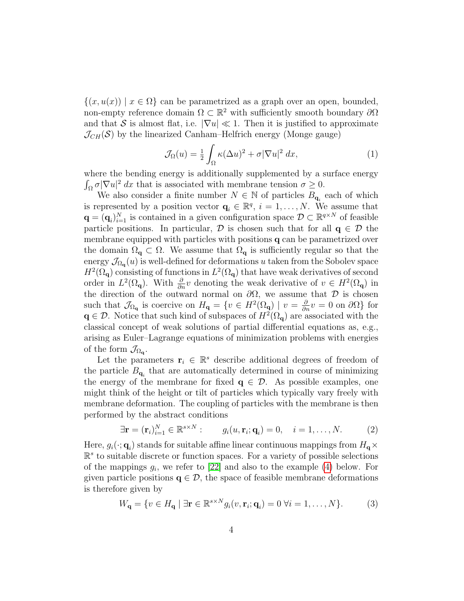$\{(x, u(x)) \mid x \in \Omega\}$  can be parametrized as a graph over an open, bounded, non-empty reference domain  $\Omega \subset \mathbb{R}^2$  with sufficiently smooth boundary  $\partial \Omega$ and that S is almost flat, i.e.  $|\nabla u| \ll 1$ . Then it is justified to approximate  $\mathcal{J}_{CH}(\mathcal{S})$  by the linearized Canham–Helfrich energy (Monge gauge)

$$
\mathcal{J}_{\Omega}(u) = \frac{1}{2} \int_{\Omega} \kappa (\Delta u)^2 + \sigma |\nabla u|^2 dx, \qquad (1)
$$

where the bending energy is additionally supplemented by a surface energy  $\int_{\Omega} \sigma |\nabla u|^2 dx$  that is associated with membrane tension  $\sigma \geq 0$ .

We also consider a finite number  $N \in \mathbb{N}$  of particles  $B_{q_i}$  each of which is represented by a position vector  $\mathbf{q}_i \in \mathbb{R}^q$ ,  $i = 1, \ldots, N$ . We assume that  $\mathbf{q} = (\mathbf{q}_i)_{i=1}^N$  is contained in a given configuration space  $\mathcal{D} \subset \mathbb{R}^{q \times N}$  of feasible particle positions. In particular,  $\mathcal D$  is chosen such that for all  $q \in \mathcal D$  the membrane equipped with particles with positions q can be parametrized over the domain  $\Omega_{q} \subset \Omega$ . We assume that  $\Omega_{q}$  is sufficiently regular so that the energy  $\mathcal{J}_{\Omega_{\mathbf{q}}}(u)$  is well-defined for deformations u taken from the Sobolev space  $H^2(\Omega_{\bf q})$  consisting of functions in  $L^2(\Omega_{\bf q})$  that have weak derivatives of second order in  $L^2(\Omega_q)$ . With  $\frac{\partial}{\partial n}v$  denoting the weak derivative of  $v \in H^2(\Omega_q)$  in the direction of the outward normal on  $\partial\Omega$ , we assume that  $\mathcal D$  is chosen such that  $\mathcal{J}_{\Omega_{\mathbf{q}}}$  is coercive on  $H_{\mathbf{q}} = \{v \in H^2(\Omega_{\mathbf{q}}) \mid v = \frac{\partial}{\partial n}v = 0 \text{ on } \partial\Omega\}$  for  $q \in \mathcal{D}$ . Notice that such kind of subspaces of  $H^2(\Omega_q)$  are associated with the classical concept of weak solutions of partial differential equations as, e.g., arising as Euler–Lagrange equations of minimization problems with energies of the form  $\mathcal{J}_{\Omega_{\mathbf{q}}}.$ 

Let the parameters  $\mathbf{r}_i \in \mathbb{R}^s$  describe additional degrees of freedom of the particle  $B_{\mathbf{q}_i}$  that are automatically determined in course of minimizing the energy of the membrane for fixed  $q \in \mathcal{D}$ . As possible examples, one might think of the height or tilt of particles which typically vary freely with membrane deformation. The coupling of particles with the membrane is then performed by the abstract conditions

<span id="page-3-0"></span>
$$
\exists \mathbf{r} = (\mathbf{r}_i)_{i=1}^N \in \mathbb{R}^{s \times N} : \qquad g_i(u, \mathbf{r}_i; \mathbf{q}_i) = 0, \quad i = 1, \dots, N. \tag{2}
$$

Here,  $g_i(\cdot; \mathbf{q}_i)$  stands for suitable affine linear continuous mappings from  $H_{\mathbf{q}} \times$ R s to suitable discrete or function spaces. For a variety of possible selections of the mappings  $g_i$ , we refer to [\[22\]](#page-16-8) and also to the example [\(4\)](#page-5-0) below. For given particle positions  $q \in \mathcal{D}$ , the space of feasible membrane deformations is therefore given by

<span id="page-3-1"></span>
$$
W_{\mathbf{q}} = \{ v \in H_{\mathbf{q}} \mid \exists \mathbf{r} \in \mathbb{R}^{s \times N} g_i(v, \mathbf{r}_i; \mathbf{q}_i) = 0 \,\forall i = 1, \dots, N \}.
$$
 (3)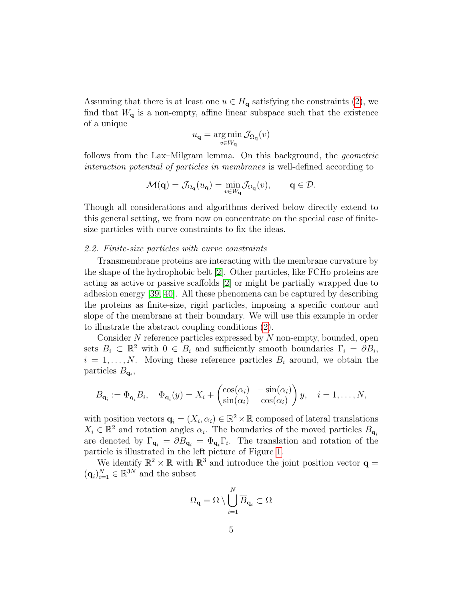Assuming that there is at least one  $u \in H_{q}$  satisfying the constraints [\(2\)](#page-3-0), we find that  $W_{q}$  is a non-empty, affine linear subspace such that the existence of a unique

$$
u_{\mathbf{q}} = \operatorname*{arg\,min}_{v \in W_{\mathbf{q}}} \mathcal{J}_{\Omega_{\mathbf{q}}}(v)
$$

follows from the Lax–Milgram lemma. On this background, the geometric interaction potential of particles in membranes is well-defined according to

$$
\mathcal{M}(\mathbf{q}) = \mathcal{J}_{\Omega_{\mathbf{q}}}(u_{\mathbf{q}}) = \min_{v \in W_{\mathbf{q}}} \mathcal{J}_{\Omega_{\mathbf{q}}}(v), \qquad \mathbf{q} \in \mathcal{D}.
$$

Though all considerations and algorithms derived below directly extend to this general setting, we from now on concentrate on the special case of finitesize particles with curve constraints to fix the ideas.

## 2.2. Finite-size particles with curve constraints

Transmembrane proteins are interacting with the membrane curvature by the shape of the hydrophobic belt [\[2\]](#page-15-0). Other particles, like FCHo proteins are acting as active or passive scaffolds [\[2\]](#page-15-0) or might be partially wrapped due to adhesion energy [\[39,](#page-18-3) [40\]](#page-18-4). All these phenomena can be captured by describing the proteins as finite-size, rigid particles, imposing a specific contour and slope of the membrane at their boundary. We will use this example in order to illustrate the abstract coupling conditions [\(2\)](#page-3-0).

Consider  $N$  reference particles expressed by  $N$  non-empty, bounded, open sets  $B_i \subset \mathbb{R}^2$  with  $0 \in B_i$  and sufficiently smooth boundaries  $\Gamma_i = \partial B_i$ ,  $i = 1, \ldots, N$ . Moving these reference particles  $B_i$  around, we obtain the particles  $B_{\mathbf{q}_i}$ ,

$$
B_{\mathbf{q}_i} := \Phi_{\mathbf{q}_i} B_i, \quad \Phi_{\mathbf{q}_i}(y) = X_i + \begin{pmatrix} \cos(\alpha_i) & -\sin(\alpha_i) \\ \sin(\alpha_i) & \cos(\alpha_i) \end{pmatrix} y, \quad i = 1, \dots, N,
$$

with position vectors  $\mathbf{q}_i = (X_i, \alpha_i) \in \mathbb{R}^2 \times \mathbb{R}$  composed of lateral translations  $X_i \in \mathbb{R}^2$  and rotation angles  $\alpha_i$ . The boundaries of the moved particles  $B_{\mathbf{q}_i}$ are denoted by  $\Gamma_{\mathbf{q}_i} = \partial B_{\mathbf{q}_i} = \Phi_{\mathbf{q}_i} \Gamma_i$ . The translation and rotation of the particle is illustrated in the left picture of Figure [1.](#page-6-0)

We identify  $\mathbb{R}^2 \times \mathbb{R}$  with  $\mathbb{R}^3$  and introduce the joint position vector  $\mathbf{q} =$  $(\mathbf{q}_i)_{i=1}^N \in \mathbb{R}^{3N}$  and the subset

$$
\Omega_{\mathbf{q}}=\Omega\setminus\bigcup_{i=1}^N\overline{B}_{\mathbf{q}_i}\subset\Omega
$$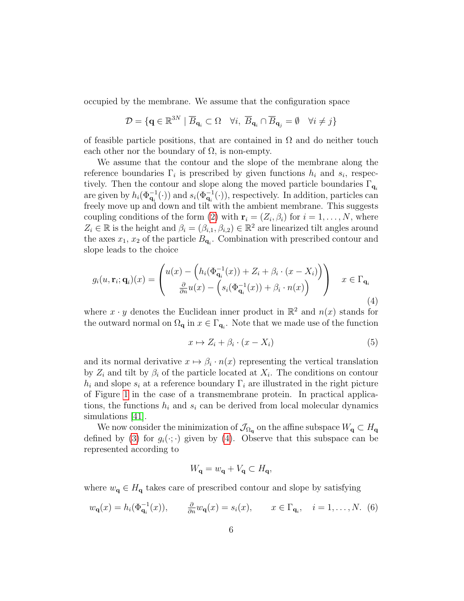occupied by the membrane. We assume that the configuration space

$$
\mathcal{D} = \{ \mathbf{q} \in \mathbb{R}^{3N} \mid \overline{B}_{\mathbf{q}_i} \subset \Omega \quad \forall i, \ \overline{B}_{\mathbf{q}_i} \cap \overline{B}_{\mathbf{q}_j} = \emptyset \quad \forall i \neq j \}
$$

of feasible particle positions, that are contained in  $\Omega$  and do neither touch each other nor the boundary of  $\Omega$ , is non-empty.

We assume that the contour and the slope of the membrane along the reference boundaries  $\Gamma_i$  is prescribed by given functions  $h_i$  and  $s_i$ , respectively. Then the contour and slope along the moved particle boundaries  $\Gamma_{\mathbf{q}_i}$ are given by  $h_i(\Phi_{\mathbf{q}_i}^{-1}(\cdot))$  and  $s_i(\Phi_{\mathbf{q}_i}^{-1}(\cdot))$ , respectively. In addition, particles can freely move up and down and tilt with the ambient membrane. This suggests coupling conditions of the form [\(2\)](#page-3-0) with  $\mathbf{r}_i = (Z_i, \beta_i)$  for  $i = 1, ..., N$ , where  $Z_i \in \mathbb{R}$  is the height and  $\beta_i = (\beta_{i,1}, \beta_{i,2}) \in \mathbb{R}^2$  are linearized tilt angles around the axes  $x_1, x_2$  of the particle  $B_{\mathbf{q}_i}$ . Combination with prescribed contour and slope leads to the choice

<span id="page-5-0"></span>
$$
g_i(u, \mathbf{r}_i; \mathbf{q}_i)(x) = \begin{pmatrix} u(x) - \left( h_i(\Phi_{\mathbf{q}_i}^{-1}(x)) + Z_i + \beta_i \cdot (x - X_i) \right) \\ \frac{\partial}{\partial n} u(x) - \left( s_i(\Phi_{\mathbf{q}_i}^{-1}(x)) + \beta_i \cdot n(x) \right) \end{pmatrix} \quad x \in \Gamma_{\mathbf{q}_i}
$$
\n(4)

where  $x \cdot y$  denotes the Euclidean inner product in  $\mathbb{R}^2$  and  $n(x)$  stands for the outward normal on  $\Omega_{\mathbf{q}}$  in  $x \in \Gamma_{\mathbf{q}_i}$ . Note that we made use of the function

<span id="page-5-1"></span>
$$
x \mapsto Z_i + \beta_i \cdot (x - X_i) \tag{5}
$$

and its normal derivative  $x \mapsto \beta_i \cdot n(x)$  representing the vertical translation by  $Z_i$  and tilt by  $\beta_i$  of the particle located at  $X_i$ . The conditions on contour  $h_i$  and slope  $s_i$  at a reference boundary  $\Gamma_i$  are illustrated in the right picture of Figure [1](#page-6-0) in the case of a transmembrane protein. In practical applications, the functions  $h_i$  and  $s_i$  can be derived from local molecular dynamics simulations [\[41\]](#page-18-5).

We now consider the minimization of  $\mathcal{J}_{\Omega_{q}}$  on the affine subspace  $W_{q} \subset H_{q}$ defined by [\(3\)](#page-3-1) for  $g_i(\cdot;\cdot)$  given by [\(4\)](#page-5-0). Observe that this subspace can be represented according to

$$
W_{\mathbf{q}} = w_{\mathbf{q}} + V_{\mathbf{q}} \subset H_{\mathbf{q}},
$$

where  $w_{q} \in H_{q}$  takes care of prescribed contour and slope by satisfying

<span id="page-5-2"></span>
$$
w_{\mathbf{q}}(x) = h_i(\Phi_{\mathbf{q}_i}^{-1}(x)), \qquad \frac{\partial}{\partial n} w_{\mathbf{q}}(x) = s_i(x), \qquad x \in \Gamma_{\mathbf{q}_i}, \quad i = 1, \dots, N. \tag{6}
$$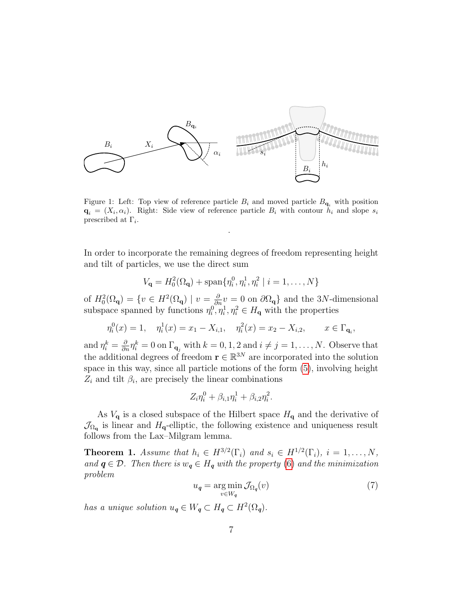<span id="page-6-0"></span>

Figure 1: Left: Top view of reference particle  $B_i$  and moved particle  $B_{q_i}$  with position  $\mathbf{q}_i = (X_i, \alpha_i)$ . Right: Side view of reference particle  $B_i$  with contour  $h_i$  and slope  $s_i$ prescribed at  $\Gamma_i$ .

.

In order to incorporate the remaining degrees of freedom representing height and tilt of particles, we use the direct sum

$$
V_{\mathbf{q}} = H_0^2(\Omega_{\mathbf{q}}) + \text{span}\{\eta_i^0, \eta_i^1, \eta_i^2 \mid i = 1, ..., N\}
$$

of  $H_0^2(\Omega_q) = \{v \in H^2(\Omega_q) \mid v = \frac{\partial}{\partial n}v = 0 \text{ on } \partial\Omega_q\}$  and the 3N-dimensional subspace spanned by functions  $\eta_i^0, \eta_i^1, \eta_i^2 \in H_{\mathbf{q}}$  with the properties

$$
\eta_i^0(x) = 1, \quad \eta_i^1(x) = x_1 - X_{i,1}, \quad \eta_i^2(x) = x_2 - X_{i,2}, \qquad x \in \Gamma_{\mathbf{q}_i},
$$

and  $\eta_i^k = \frac{\partial}{\partial n} \eta_i^k = 0$  on  $\Gamma_{\mathbf{q}_j}$  with  $k = 0, 1, 2$  and  $i \neq j = 1, ..., N$ . Observe that the additional degrees of freedom  $\mathbf{r} \in \mathbb{R}^{3N}$  are incorporated into the solution space in this way, since all particle motions of the form [\(5\)](#page-5-1), involving height  $Z_i$  and tilt  $\beta_i$ , are precisely the linear combinations

$$
Z_i \eta_i^0 + \beta_{i,1} \eta_i^1 + \beta_{i,2} \eta_i^2.
$$

As  $V_{\mathbf{q}}$  is a closed subspace of the Hilbert space  $H_{\mathbf{q}}$  and the derivative of  $\mathcal{J}_{\Omega_{\mathbf{q}}}$  is linear and  $H_{\mathbf{q}}$ -elliptic, the following existence and uniqueness result follows from the Lax–Milgram lemma.

<span id="page-6-2"></span>**Theorem 1.** Assume that  $h_i \in H^{3/2}(\Gamma_i)$  and  $s_i \in H^{1/2}(\Gamma_i)$ ,  $i = 1, ..., N$ , and  $q \in \mathcal{D}$ . Then there is  $w_q \in H_q$  with the property [\(6\)](#page-5-2) and the minimization problem

<span id="page-6-1"></span>
$$
u_{q} = \underset{v \in W_{q}}{\arg \min} \mathcal{J}_{\Omega_{q}}(v) \tag{7}
$$

has a unique solution  $u_q \in W_q \subset H_q \subset H^2(\Omega_q)$ .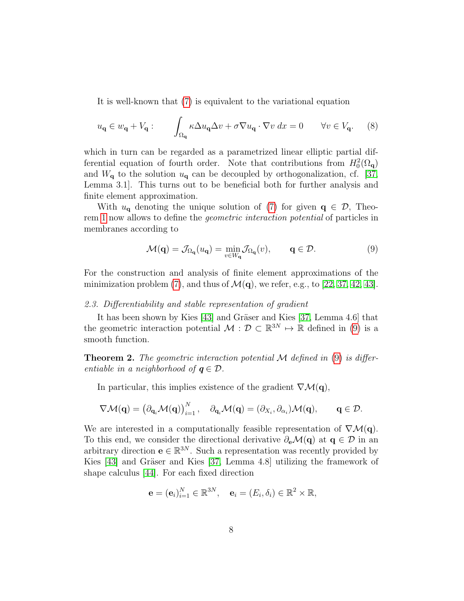It is well-known that [\(7\)](#page-6-1) is equivalent to the variational equation

<span id="page-7-1"></span>
$$
u_{\mathbf{q}} \in w_{\mathbf{q}} + V_{\mathbf{q}}: \qquad \int_{\Omega_{\mathbf{q}}} \kappa \Delta u_{\mathbf{q}} \Delta v + \sigma \nabla u_{\mathbf{q}} \cdot \nabla v \, dx = 0 \qquad \forall v \in V_{\mathbf{q}}.\tag{8}
$$

which in turn can be regarded as a parametrized linear elliptic partial differential equation of fourth order. Note that contributions from  $H_0^2(\Omega_q)$ and  $W_{\mathbf{q}}$  to the solution  $u_{\mathbf{q}}$  can be decoupled by orthogonalization, cf. [\[37,](#page-18-1) Lemma 3.1]. This turns out to be beneficial both for further analysis and finite element approximation.

With  $u_{q}$  denoting the unique solution of [\(7\)](#page-6-1) for given  $q \in \mathcal{D}$ , Theorem [1](#page-6-2) now allows to define the geometric interaction potential of particles in membranes according to

<span id="page-7-0"></span>
$$
\mathcal{M}(\mathbf{q}) = \mathcal{J}_{\Omega_{\mathbf{q}}}(u_{\mathbf{q}}) = \min_{v \in W_{\mathbf{q}}} \mathcal{J}_{\Omega_{\mathbf{q}}}(v), \qquad \mathbf{q} \in \mathcal{D}.
$$
 (9)

For the construction and analysis of finite element approximations of the minimization problem [\(7\)](#page-6-1), and thus of  $\mathcal{M}(\mathbf{q})$ , we refer, e.g., to [\[22,](#page-16-8) [37,](#page-18-1) [42,](#page-18-6) [43\]](#page-18-7).

# 2.3. Differentiability and stable representation of gradient

It has been shown by Kies [\[43\]](#page-18-7) and Gräser and Kies [\[37,](#page-18-1) Lemma 4.6] that the geometric interaction potential  $\mathcal{M}: \mathcal{D} \subset \mathbb{R}^{3N} \mapsto \mathbb{R}$  defined in [\(9\)](#page-7-0) is a smooth function.

**Theorem 2.** The geometric interaction potential M defined in  $(9)$  is differentiable in a neighborhood of  $q \in \mathcal{D}$ .

In particular, this implies existence of the gradient  $\nabla \mathcal{M}(\mathbf{q})$ ,

$$
\nabla \mathcal{M}(\mathbf{q}) = \left(\partial_{\mathbf{q}_i} \mathcal{M}(\mathbf{q})\right)_{i=1}^N, \quad \partial_{\mathbf{q}_i} \mathcal{M}(\mathbf{q}) = (\partial_{X_i}, \partial_{\alpha_i}) \mathcal{M}(\mathbf{q}), \qquad \mathbf{q} \in \mathcal{D}.
$$

We are interested in a computationally feasible representation of  $\nabla \mathcal{M}(\mathbf{q})$ . To this end, we consider the directional derivative  $\partial_{\mathbf{e}}\mathcal{M}(\mathbf{q})$  at  $\mathbf{q} \in \mathcal{D}$  in an arbitrary direction  $e \in \mathbb{R}^{3N}$ . Such a representation was recently provided by Kies  $[43]$  and Gräser and Kies  $[37,$  Lemma 4.8] utilizing the framework of shape calculus [\[44\]](#page-18-8). For each fixed direction

$$
\mathbf{e} = (\mathbf{e}_i)_{i=1}^N \in \mathbb{R}^{3N}, \quad \mathbf{e}_i = (E_i, \delta_i) \in \mathbb{R}^2 \times \mathbb{R},
$$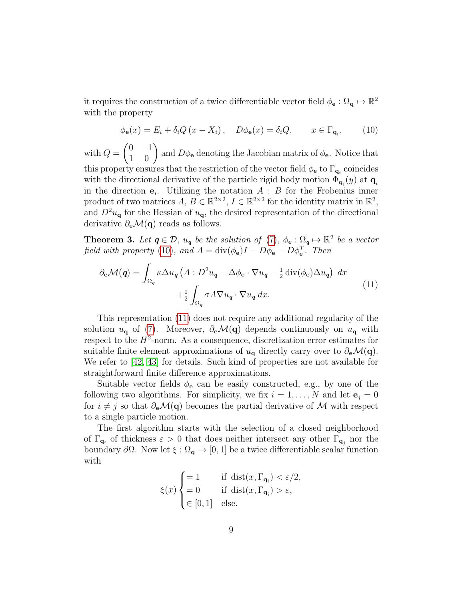it requires the construction of a twice differentiable vector field  $\phi_{\mathbf{e}} : \Omega_{\mathbf{q}} \mapsto \mathbb{R}^2$ with the property

<span id="page-8-0"></span>
$$
\phi_{\mathbf{e}}(x) = E_i + \delta_i Q \left( x - X_i \right), \quad D\phi_{\mathbf{e}}(x) = \delta_i Q, \qquad x \in \Gamma_{\mathbf{q}_i}, \tag{10}
$$

with  $Q =$  $\begin{pmatrix} 0 & -1 \\ 1 & 0 \end{pmatrix}$  and  $D\phi_e$  denoting the Jacobian matrix of  $\phi_e$ . Notice that this property ensures that the restriction of the vector field  $\phi_{\bf e}$  to  $\Gamma_{{\bf q}_i}$  coincides with the directional derivative of the particle rigid body motion  $\Phi_{\mathbf{q}_i}(y)$  at  $\mathbf{q}_i$ in the direction  $e_i$ . Utilizing the notation  $A : B$  for the Frobenius inner product of two matrices  $A, B \in \mathbb{R}^{2 \times 2}, I \in \mathbb{R}^{2 \times 2}$  for the identity matrix in  $\mathbb{R}^2$ , and  $D^2u_{\mathbf{q}}$  for the Hessian of  $u_{\mathbf{q}}$ , the desired representation of the directional derivative  $\partial_{\mathbf{e}}\mathcal{M}(\mathbf{q})$  reads as follows.

**Theorem 3.** Let  $q \in \mathcal{D}$ ,  $u_q$  be the solution of [\(7\)](#page-6-1),  $\phi_e : \Omega_q \mapsto \mathbb{R}^2$  be a vector field with property [\(10\)](#page-8-0), and  $A = \text{div}(\phi_e)I - D\phi_e - D\phi_e^T$ . Then

<span id="page-8-1"></span>
$$
\partial_{\mathbf{e}}\mathcal{M}(\mathbf{q}) = \int_{\Omega_{\mathbf{q}}} \kappa \Delta u_{\mathbf{q}} \left( A : D^2 u_{\mathbf{q}} - \Delta \phi_{\mathbf{e}} \cdot \nabla u_{\mathbf{q}} - \frac{1}{2} \operatorname{div}(\phi_{\mathbf{e}}) \Delta u_{\mathbf{q}} \right) dx + \frac{1}{2} \int_{\Omega_{\mathbf{q}}} \sigma A \nabla u_{\mathbf{q}} \cdot \nabla u_{\mathbf{q}} dx.
$$
 (11)

This representation [\(11\)](#page-8-1) does not require any additional regularity of the solution  $u_{\mathbf{q}}$  of [\(7\)](#page-6-1). Moreover,  $\partial_{\mathbf{e}}\mathcal{M}(\mathbf{q})$  depends continuously on  $u_{\mathbf{q}}$  with respect to the  $H^2$ -norm. As a consequence, discretization error estimates for suitable finite element approximations of  $u_{q}$  directly carry over to  $\partial_{e}\mathcal{M}(q)$ . We refer to [\[42,](#page-18-6) [43\]](#page-18-7) for details. Such kind of properties are not available for straightforward finite difference approximations.

Suitable vector fields  $\phi_e$  can be easily constructed, e.g., by one of the following two algorithms. For simplicity, we fix  $i = 1, ..., N$  and let  $e_i = 0$ for  $i \neq j$  so that  $\partial_{\mathbf{e}}\mathcal{M}(\mathbf{q})$  becomes the partial derivative of M with respect to a single particle motion.

The first algorithm starts with the selection of a closed neighborhood of  $\Gamma_{\mathbf{q}_i}$  of thickness  $\varepsilon > 0$  that does neither intersect any other  $\Gamma_{\mathbf{q}_j}$  nor the boundary  $\partial\Omega$ . Now let  $\xi:\Omega_{\mathbf{q}}\to[0,1]$  be a twice differentiable scalar function with

$$
\xi(x) \begin{cases} = 1 & \text{if } \operatorname{dist}(x, \Gamma_{\mathbf{q}_i}) < \varepsilon/2, \\ = 0 & \text{if } \operatorname{dist}(x, \Gamma_{\mathbf{q}_i}) > \varepsilon, \\ \in [0, 1] & \text{else.} \end{cases}
$$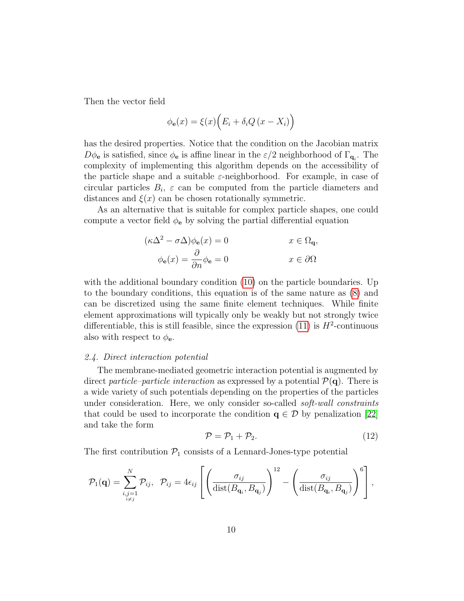Then the vector field

$$
\phi_{\mathbf{e}}(x) = \xi(x) \Big( E_i + \delta_i Q \left( x - X_i \right) \Big)
$$

has the desired properties. Notice that the condition on the Jacobian matrix  $D\phi_{\bf e}$  is satisfied, since  $\phi_{\bf e}$  is affine linear in the  $\varepsilon/2$  neighborhood of  $\Gamma_{\bf q_i}$ . The complexity of implementing this algorithm depends on the accessibility of the particle shape and a suitable  $\varepsilon$ -neighborhood. For example, in case of circular particles  $B_i$ ,  $\varepsilon$  can be computed from the particle diameters and distances and  $\xi(x)$  can be chosen rotationally symmetric.

As an alternative that is suitable for complex particle shapes, one could compute a vector field  $\phi_e$  by solving the partial differential equation

$$
(\kappa \Delta^2 - \sigma \Delta) \phi_{\mathbf{e}}(x) = 0 \qquad x \in \Omega_{\mathbf{q}},
$$

$$
\phi_{\mathbf{e}}(x) = \frac{\partial}{\partial n} \phi_{\mathbf{e}} = 0 \qquad x \in \partial \Omega
$$

with the additional boundary condition [\(10\)](#page-8-0) on the particle boundaries. Up to the boundary conditions, this equation is of the same nature as [\(8\)](#page-7-1) and can be discretized using the same finite element techniques. While finite element approximations will typically only be weakly but not strongly twice differentiable, this is still feasible, since the expression  $(11)$  is  $H^2$ -continuous also with respect to  $\phi_{\mathbf{e}}$ .

# 2.4. Direct interaction potential

The membrane-mediated geometric interaction potential is augmented by direct particle–particle interaction as expressed by a potential  $\mathcal{P}(\mathbf{q})$ . There is a wide variety of such potentials depending on the properties of the particles under consideration. Here, we only consider so-called *soft-wall constraints* that could be used to incorporate the condition  $q \in \mathcal{D}$  by penalization [\[22\]](#page-16-8) and take the form

$$
\mathcal{P} = \mathcal{P}_1 + \mathcal{P}_2. \tag{12}
$$

The first contribution  $P_1$  consists of a Lennard-Jones-type potential

$$
\mathcal{P}_1(\mathbf{q}) = \sum_{\substack{i,j=1 \ i \neq j}}^N \mathcal{P}_{ij}, \ \ \mathcal{P}_{ij} = 4\epsilon_{ij} \left[ \left( \frac{\sigma_{ij}}{\text{dist}(B_{\mathbf{q}_i}, B_{\mathbf{q}_j})} \right)^{12} - \left( \frac{\sigma_{ij}}{\text{dist}(B_{\mathbf{q}_i}, B_{\mathbf{q}_j})} \right)^6 \right],
$$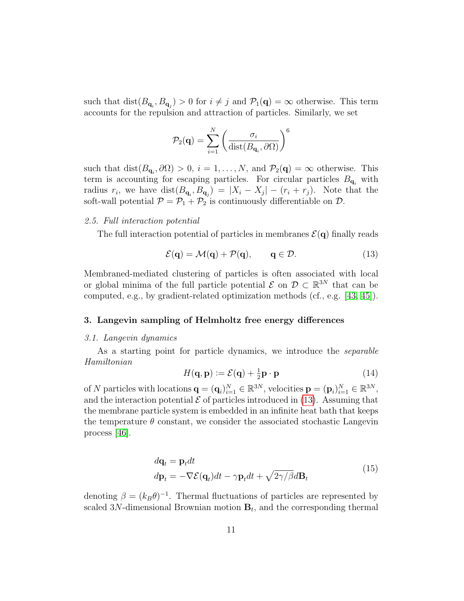such that  $dist(B_{\mathbf{q}_i}, B_{\mathbf{q}_j}) > 0$  for  $i \neq j$  and  $\mathcal{P}_1(\mathbf{q}) = \infty$  otherwise. This term accounts for the repulsion and attraction of particles. Similarly, we set

$$
\mathcal{P}_2(\mathbf{q}) = \sum_{i=1}^N \left( \frac{\sigma_i}{\text{dist}(B_{\mathbf{q}_i}, \partial \Omega)} \right)^6
$$

such that  $dist(B_{\mathbf{q}_i}, \partial \Omega) > 0$ ,  $i = 1, ..., N$ , and  $\mathcal{P}_2(\mathbf{q}) = \infty$  otherwise. This term is accounting for escaping particles. For circular particles  $B_{q_i}$  with radius  $r_i$ , we have  $dist(B_{\mathbf{q}_i}, B_{\mathbf{q}_j}) = |X_i - X_j| - (r_i + r_j)$ . Note that the soft-wall potential  $\mathcal{P} = \mathcal{P}_1 + \mathcal{P}_2$  is continuously differentiable on  $\mathcal{D}$ .

# 2.5. Full interaction potential

The full interaction potential of particles in membranes  $\mathcal{E}(\mathbf{q})$  finally reads

<span id="page-10-0"></span>
$$
\mathcal{E}(\mathbf{q}) = \mathcal{M}(\mathbf{q}) + \mathcal{P}(\mathbf{q}), \qquad \mathbf{q} \in \mathcal{D}.\tag{13}
$$

Membraned-mediated clustering of particles is often associated with local or global minima of the full particle potential  $\mathcal{E}$  on  $\mathcal{D} \subset \mathbb{R}^{3N}$  that can be computed, e.g., by gradient-related optimization methods (cf., e.g. [\[43,](#page-18-7) [45\]](#page-18-9)).

## 3. Langevin sampling of Helmholtz free energy differences

## 3.1. Langevin dynamics

As a starting point for particle dynamics, we introduce the *separable* Hamiltonian

$$
H(\mathbf{q}, \mathbf{p}) := \mathcal{E}(\mathbf{q}) + \frac{1}{2}\mathbf{p} \cdot \mathbf{p}
$$
 (14)

of N particles with locations  $\mathbf{q} = (\mathbf{q}_i)_{i=1}^N \in \mathbb{R}^{3N}$ , velocities  $\mathbf{p} = (\mathbf{p}_i)_{i=1}^N \in \mathbb{R}^{3N}$ , and the interaction potential  $\mathcal E$  of particles introduced in [\(13\)](#page-10-0). Assuming that the membrane particle system is embedded in an infinite heat bath that keeps the temperature  $\theta$  constant, we consider the associated stochastic Langevin process [\[46\]](#page-18-10).

$$
d\mathbf{q}_t = \mathbf{p}_t dt
$$
  
\n
$$
d\mathbf{p}_t = -\nabla \mathcal{E}(\mathbf{q}_t)dt - \gamma \mathbf{p}_t dt + \sqrt{2\gamma/\beta}d\mathbf{B}_t
$$
\n(15)

denoting  $\beta = (k_B \theta)^{-1}$ . Thermal fluctuations of particles are represented by scaled 3N-dimensional Brownian motion  $B_t$ , and the corresponding thermal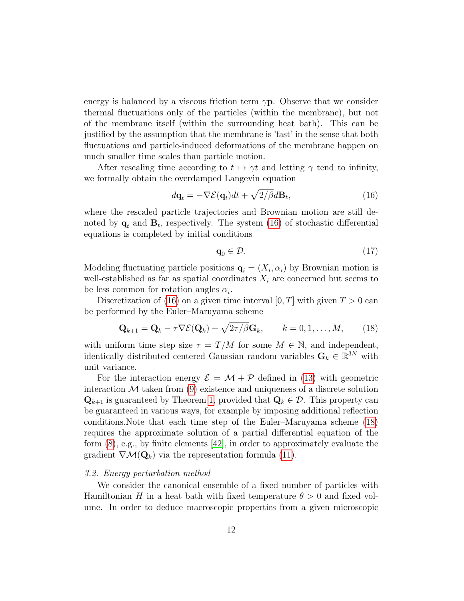energy is balanced by a viscous friction term  $\gamma$ **p**. Observe that we consider thermal fluctuations only of the particles (within the membrane), but not of the membrane itself (within the surrounding heat bath). This can be justified by the assumption that the membrane is 'fast' in the sense that both fluctuations and particle-induced deformations of the membrane happen on much smaller time scales than particle motion.

After rescaling time according to  $t \mapsto \gamma t$  and letting  $\gamma$  tend to infinity, we formally obtain the overdamped Langevin equation

<span id="page-11-0"></span>
$$
d\mathbf{q}_t = -\nabla \mathcal{E}(\mathbf{q}_t)dt + \sqrt{2/\beta}d\mathbf{B}_t, \qquad (16)
$$

where the rescaled particle trajectories and Brownian motion are still denoted by  $\mathbf{q}_t$  and  $\mathbf{B}_t$ , respectively. The system [\(16\)](#page-11-0) of stochastic differential equations is completed by initial conditions

<span id="page-11-1"></span>
$$
\mathbf{q}_0 \in \mathcal{D}.\tag{17}
$$

Modeling fluctuating particle positions  $\mathbf{q}_i = (X_i, \alpha_i)$  by Brownian motion is well-established as far as spatial coordinates  $X_i$  are concerned but seems to be less common for rotation angles  $\alpha_i$ .

Discretization of [\(16\)](#page-11-0) on a given time interval [0, T] with given  $T > 0$  can be performed by the Euler–Maruyama scheme

$$
\mathbf{Q}_{k+1} = \mathbf{Q}_k - \tau \nabla \mathcal{E}(\mathbf{Q}_k) + \sqrt{2\tau/\beta} \mathbf{G}_k, \qquad k = 0, 1, ..., M,
$$
 (18)

with uniform time step size  $\tau = T/M$  for some  $M \in \mathbb{N}$ , and independent, identically distributed centered Gaussian random variables  $\mathbf{G}_k \in \mathbb{R}^{3N}$  with unit variance.

For the interaction energy  $\mathcal{E} = \mathcal{M} + \mathcal{P}$  defined in [\(13\)](#page-10-0) with geometric interaction  $M$  taken from  $(9)$  existence and uniqueness of a discrete solution  $\mathbf{Q}_{k+1}$  is guaranteed by Theorem [1,](#page-6-2) provided that  $\mathbf{Q}_k \in \mathcal{D}$ . This property can be guaranteed in various ways, for example by imposing additional reflection conditions.Note that each time step of the Euler–Maruyama scheme [\(18\)](#page-11-1) requires the approximate solution of a partial differential equation of the form [\(8\)](#page-7-1), e.g., by finite elements [\[42\]](#page-18-6), in order to approximately evaluate the gradient  $\nabla \mathcal{M}(\mathbf{Q}_k)$  via the representation formula [\(11\)](#page-8-1).

## 3.2. Energy perturbation method

We consider the canonical ensemble of a fixed number of particles with Hamiltonian H in a heat bath with fixed temperature  $\theta > 0$  and fixed volume. In order to deduce macroscopic properties from a given microscopic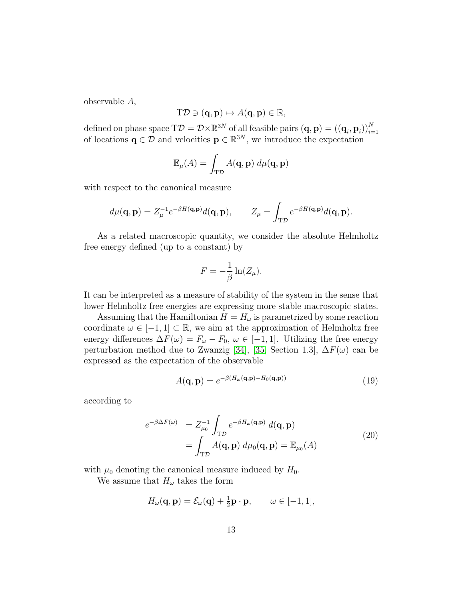observable A,

$$
T\mathcal{D} \ni (\mathbf{q}, \mathbf{p}) \mapsto A(\mathbf{q}, \mathbf{p}) \in \mathbb{R},
$$

defined on phase space  $T\mathcal{D} = \mathcal{D}\times\mathbb{R}^{3N}$  of all feasible pairs  $(\mathbf{q}, \mathbf{p}) = ((\mathbf{q}_i, \mathbf{p}_i))_{i=1}^N$ <br>of locations  $\mathbf{q} \in \mathcal{D}$  and velocities  $\mathbf{p} \in \mathbb{R}^{3N}$ , we introduce the expectation

$$
\mathbb{E}_{\mu}(A) = \int_{\mathbf{T}\mathcal{D}} A(\mathbf{q}, \mathbf{p}) \, d\mu(\mathbf{q}, \mathbf{p})
$$

with respect to the canonical measure

$$
d\mu(\mathbf{q}, \mathbf{p}) = Z_{\mu}^{-1} e^{-\beta H(\mathbf{q}, \mathbf{p})} d(\mathbf{q}, \mathbf{p}), \qquad Z_{\mu} = \int_{\mathrm{T}\mathcal{D}} e^{-\beta H(\mathbf{q}, \mathbf{p})} d(\mathbf{q}, \mathbf{p}).
$$

As a related macroscopic quantity, we consider the absolute Helmholtz free energy defined (up to a constant) by

$$
F = -\frac{1}{\beta} \ln(Z_{\mu}).
$$

It can be interpreted as a measure of stability of the system in the sense that lower Helmholtz free energies are expressing more stable macroscopic states.

Assuming that the Hamiltonian  $H = H_{\omega}$  is parametrized by some reaction coordinate  $\omega \in [-1, 1] \subset \mathbb{R}$ , we aim at the approximation of Helmholtz free energy differences  $\Delta F(\omega) = F_{\omega} - F_0$ ,  $\omega \in [-1, 1]$ . Utilizing the free energy perturbation method due to Zwanzig [\[34\]](#page-17-10), [\[35,](#page-17-11) Section 1.3],  $\Delta F(\omega)$  can be expressed as the expectation of the observable

<span id="page-12-0"></span>
$$
A(\mathbf{q}, \mathbf{p}) = e^{-\beta (H_{\omega}(\mathbf{q}, \mathbf{p}) - H_0(\mathbf{q}, \mathbf{p}))}
$$
(19)

according to

<span id="page-12-1"></span>
$$
e^{-\beta \Delta F(\omega)} = Z_{\mu_0}^{-1} \int_{\text{TD}} e^{-\beta H_{\omega}(\mathbf{q}, \mathbf{p})} d(\mathbf{q}, \mathbf{p})
$$
  
= 
$$
\int_{\text{TD}} A(\mathbf{q}, \mathbf{p}) d\mu_0(\mathbf{q}, \mathbf{p}) = \mathbb{E}_{\mu_0}(A)
$$
 (20)

with  $\mu_0$  denoting the canonical measure induced by  $H_0$ .

We assume that  $H_{\omega}$  takes the form

$$
H_{\omega}(\mathbf{q}, \mathbf{p}) = \mathcal{E}_{\omega}(\mathbf{q}) + \frac{1}{2}\mathbf{p} \cdot \mathbf{p}, \qquad \omega \in [-1, 1],
$$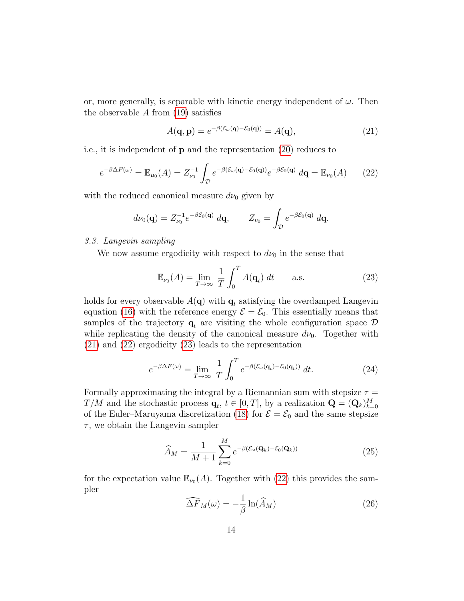or, more generally, is separable with kinetic energy independent of  $\omega$ . Then the observable  $A$  from  $(19)$  satisfies

<span id="page-13-1"></span><span id="page-13-0"></span>
$$
A(\mathbf{q}, \mathbf{p}) = e^{-\beta(\mathcal{E}_{\omega}(\mathbf{q}) - \mathcal{E}_0(\mathbf{q}))} = A(\mathbf{q}),
$$
\n(21)

i.e., it is independent of p and the representation [\(20\)](#page-12-1) reduces to

$$
e^{-\beta \Delta F(\omega)} = \mathbb{E}_{\mu_0}(A) = Z_{\nu_0}^{-1} \int_{\mathcal{D}} e^{-\beta (\mathcal{E}_{\omega}(\mathbf{q}) - \mathcal{E}_0(\mathbf{q}))} e^{-\beta \mathcal{E}_0(\mathbf{q})} d\mathbf{q} = \mathbb{E}_{\nu_0}(A) \qquad (22)
$$

with the reduced canonical measure  $d\nu_0$  given by

$$
d\nu_0(\mathbf{q}) = Z_{\nu_0}^{-1} e^{-\beta \mathcal{E}_0(\mathbf{q})} d\mathbf{q}, \qquad Z_{\nu_0} = \int_{\mathcal{D}} e^{-\beta \mathcal{E}_0(\mathbf{q})} d\mathbf{q}.
$$

## 3.3. Langevin sampling

We now assume ergodicity with respect to  $d\nu_0$  in the sense that

<span id="page-13-2"></span>
$$
\mathbb{E}_{\nu_0}(A) = \lim_{T \to \infty} \frac{1}{T} \int_0^T A(\mathbf{q}_t) dt \quad \text{a.s.}
$$
 (23)

holds for every observable  $A(\mathbf{q})$  with  $\mathbf{q}_t$  satisfying the overdamped Langevin equation [\(16\)](#page-11-0) with the reference energy  $\mathcal{E} = \mathcal{E}_0$ . This essentially means that samples of the trajectory  $\mathbf{q}_t$  are visiting the whole configuration space  $\mathcal D$ while replicating the density of the canonical measure  $d\nu_0$ . Together with [\(21\)](#page-13-0) and [\(22\)](#page-13-1) ergodicity [\(23\)](#page-13-2) leads to the representation

$$
e^{-\beta \Delta F(\omega)} = \lim_{T \to \infty} \frac{1}{T} \int_0^T e^{-\beta (\mathcal{E}_{\omega}(\mathbf{q}_t) - \mathcal{E}_0(\mathbf{q}_t))} dt.
$$
 (24)

Formally approximating the integral by a Riemannian sum with stepsize  $\tau =$  $T/M$  and the stochastic process  $\mathbf{q}_t, t \in [0,T]$ , by a realization  $\mathbf{Q} = (\mathbf{Q}_k)_{k=0}^M$ of the Euler–Maruyama discretization [\(18\)](#page-11-1) for  $\mathcal{E} = \mathcal{E}_0$  and the same stepsize  $\tau$ , we obtain the Langevin sampler

$$
\widehat{A}_M = \frac{1}{M+1} \sum_{k=0}^{M} e^{-\beta (\mathcal{E}_{\omega}(\mathbf{Q}_k) - \mathcal{E}_0(\mathbf{Q}_k))}
$$
(25)

for the expectation value  $\mathbb{E}_{\nu_0}(A)$ . Together with [\(22\)](#page-13-1) this provides the sampler

$$
\widehat{\Delta F}_M(\omega) = -\frac{1}{\beta} \ln(\widehat{A}_M) \tag{26}
$$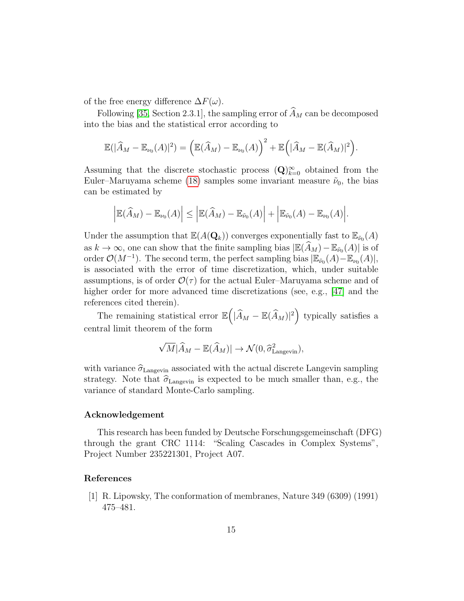of the free energy difference  $\Delta F(\omega)$ .

Following [\[35,](#page-17-11) Section 2.3.1], the sampling error of  $\widehat{A}_M$  can be decomposed into the bias and the statistical error according to

$$
\mathbb{E}(|\widehat{A}_M - \mathbb{E}_{\nu_0}(A)|^2) = \left(\mathbb{E}(\widehat{A}_M) - \mathbb{E}_{\nu_0}(A)\right)^2 + \mathbb{E}\left(|\widehat{A}_M - \mathbb{E}(\widehat{A}_M)|^2\right).
$$

Assuming that the discrete stochastic process  $(Q)_{k=0}^{\infty}$  obtained from the Euler–Maruyama scheme [\(18\)](#page-11-1) samples some invariant measure  $\tilde{\nu}_0$ , the bias can be estimated by

$$
\left|\mathbb{E}(\widehat{A}_M)-\mathbb{E}_{\nu_0}(A)\right|\leq \left|\mathbb{E}(\widehat{A}_M)-\mathbb{E}_{\tilde{\nu}_0}(A)\right|+\left|\mathbb{E}_{\tilde{\nu}_0}(A)-\mathbb{E}_{\nu_0}(A)\right|.
$$

Under the assumption that  $\mathbb{E}(A(\mathbf{Q}_k))$  converges exponentially fast to  $\mathbb{E}_{\tilde{\nu}_0}(A)$ as  $k \to \infty$ , one can show that the finite sampling bias  $|\mathbb{E}(\widehat{A}_M) - \mathbb{E}_{\tilde{\nu}_0}(A)|$  is of order  $\mathcal{O}(M^{-1})$ . The second term, the perfect sampling bias  $|\mathbb{E}_{\tilde{\nu}_0}(A) - \mathbb{E}_{\nu_0}(A)|$ , is associated with the error of time discretization, which, under suitable assumptions, is of order  $\mathcal{O}(\tau)$  for the actual Euler–Maruyama scheme and of higher order for more advanced time discretizations (see, e.g., [\[47\]](#page-19-0) and the references cited therein).

The remaining statistical error  $\mathbb{E} \left( |\widehat{A}_M - \mathbb{E}(\widehat{A}_M)|^2 \right)$  typically satisfies a central limit theorem of the form

$$
\sqrt{M}|\widehat{A}_M - \mathbb{E}(\widehat{A}_M)| \to \mathcal{N}(0, \widehat{\sigma}_{\text{Langevin}}^2),
$$

with variance  $\hat{\sigma}_{\text{Langevin}}$  associated with the actual discrete Langevin sampling strategy. Note that  $\hat{\sigma}_{\text{Langevin}}$  is expected to be much smaller than, e.g., the variance of standard Monte-Carlo sampling.

# Acknowledgement

This research has been funded by Deutsche Forschungsgemeinschaft (DFG) through the grant CRC 1114: "Scaling Cascades in Complex Systems", Project Number 235221301, Project A07.

## References

<span id="page-14-0"></span>[1] R. Lipowsky, The conformation of membranes, Nature 349 (6309) (1991) 475–481.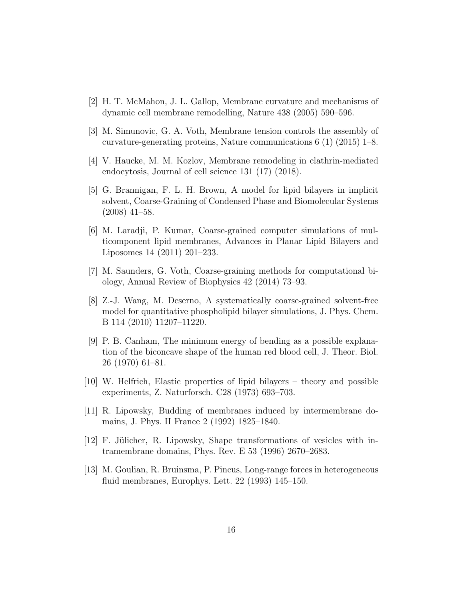- <span id="page-15-0"></span>[2] H. T. McMahon, J. L. Gallop, Membrane curvature and mechanisms of dynamic cell membrane remodelling, Nature 438 (2005) 590–596.
- <span id="page-15-1"></span>[3] M. Simunovic, G. A. Voth, Membrane tension controls the assembly of curvature-generating proteins, Nature communications  $6(1)(2015)$  1–8.
- <span id="page-15-2"></span>[4] V. Haucke, M. M. Kozlov, Membrane remodeling in clathrin-mediated endocytosis, Journal of cell science 131 (17) (2018).
- <span id="page-15-3"></span>[5] G. Brannigan, F. L. H. Brown, A model for lipid bilayers in implicit solvent, Coarse-Graining of Condensed Phase and Biomolecular Systems (2008) 41–58.
- <span id="page-15-4"></span>[6] M. Laradji, P. Kumar, Coarse-grained computer simulations of multicomponent lipid membranes, Advances in Planar Lipid Bilayers and Liposomes 14 (2011) 201–233.
- <span id="page-15-5"></span>[7] M. Saunders, G. Voth, Coarse-graining methods for computational biology, Annual Review of Biophysics 42 (2014) 73–93.
- <span id="page-15-6"></span>[8] Z.-J. Wang, M. Deserno, A systematically coarse-grained solvent-free model for quantitative phospholipid bilayer simulations, J. Phys. Chem. B 114 (2010) 11207–11220.
- <span id="page-15-7"></span>[9] P. B. Canham, The minimum energy of bending as a possible explanation of the biconcave shape of the human red blood cell, J. Theor. Biol. 26 (1970) 61–81.
- <span id="page-15-8"></span>[10] W. Helfrich, Elastic properties of lipid bilayers – theory and possible experiments, Z. Naturforsch. C28 (1973) 693–703.
- <span id="page-15-9"></span>[11] R. Lipowsky, Budding of membranes induced by intermembrane domains, J. Phys. II France 2 (1992) 1825–1840.
- <span id="page-15-10"></span> $[12]$  F. Jülicher, R. Lipowsky, Shape transformations of vesicles with intramembrane domains, Phys. Rev. E 53 (1996) 2670–2683.
- <span id="page-15-11"></span>[13] M. Goulian, R. Bruinsma, P. Pincus, Long-range forces in heterogeneous fluid membranes, Europhys. Lett. 22 (1993) 145–150.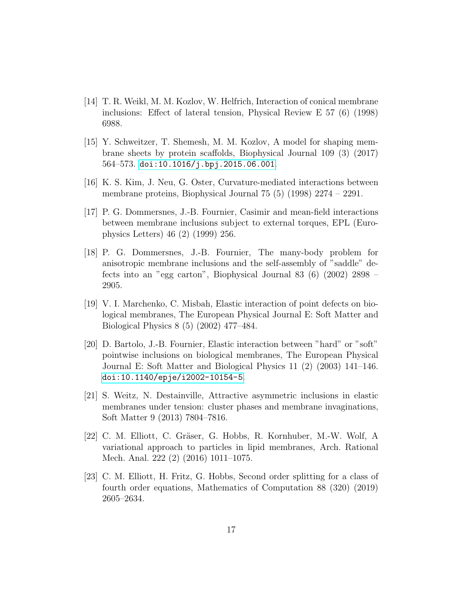- <span id="page-16-0"></span>[14] T. R. Weikl, M. M. Kozlov, W. Helfrich, Interaction of conical membrane inclusions: Effect of lateral tension, Physical Review E 57 (6) (1998) 6988.
- <span id="page-16-1"></span>[15] Y. Schweitzer, T. Shemesh, M. M. Kozlov, A model for shaping membrane sheets by protein scaffolds, Biophysical Journal 109 (3) (2017) 564–573. [doi:10.1016/j.bpj.2015.06.001](https://doi.org/10.1016/j.bpj.2015.06.001).
- <span id="page-16-2"></span>[16] K. S. Kim, J. Neu, G. Oster, Curvature-mediated interactions between membrane proteins, Biophysical Journal 75 (5) (1998) 2274 – 2291.
- <span id="page-16-3"></span>[17] P. G. Dommersnes, J.-B. Fournier, Casimir and mean-field interactions between membrane inclusions subject to external torques, EPL (Europhysics Letters) 46 (2) (1999) 256.
- <span id="page-16-4"></span>[18] P. G. Dommersnes, J.-B. Fournier, The many-body problem for anisotropic membrane inclusions and the self-assembly of "saddle" defects into an "egg carton", Biophysical Journal 83 (6) (2002) 2898 – 2905.
- <span id="page-16-5"></span>[19] V. I. Marchenko, C. Misbah, Elastic interaction of point defects on biological membranes, The European Physical Journal E: Soft Matter and Biological Physics 8 (5) (2002) 477–484.
- <span id="page-16-6"></span>[20] D. Bartolo, J.-B. Fournier, Elastic interaction between "hard" or "soft" pointwise inclusions on biological membranes, The European Physical Journal E: Soft Matter and Biological Physics 11 (2) (2003) 141–146. [doi:10.1140/epje/i2002-10154-5](https://doi.org/10.1140/epje/i2002-10154-5).
- <span id="page-16-7"></span>[21] S. Weitz, N. Destainville, Attractive asymmetric inclusions in elastic membranes under tension: cluster phases and membrane invaginations, Soft Matter 9 (2013) 7804–7816.
- <span id="page-16-8"></span>[22] C. M. Elliott, C. Gräser, G. Hobbs, R. Kornhuber, M.-W. Wolf, A variational approach to particles in lipid membranes, Arch. Rational Mech. Anal. 222 (2) (2016) 1011–1075.
- <span id="page-16-9"></span>[23] C. M. Elliott, H. Fritz, G. Hobbs, Second order splitting for a class of fourth order equations, Mathematics of Computation 88 (320) (2019) 2605–2634.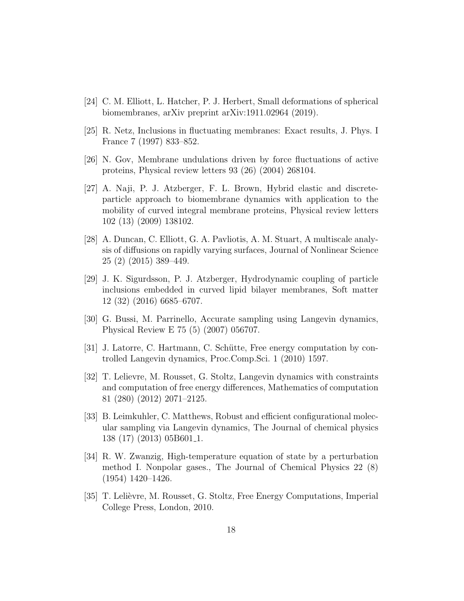- <span id="page-17-0"></span>[24] C. M. Elliott, L. Hatcher, P. J. Herbert, Small deformations of spherical biomembranes, arXiv preprint arXiv:1911.02964 (2019).
- <span id="page-17-1"></span>[25] R. Netz, Inclusions in fluctuating membranes: Exact results, J. Phys. I France 7 (1997) 833–852.
- <span id="page-17-2"></span>[26] N. Gov, Membrane undulations driven by force fluctuations of active proteins, Physical review letters 93 (26) (2004) 268104.
- <span id="page-17-3"></span>[27] A. Naji, P. J. Atzberger, F. L. Brown, Hybrid elastic and discreteparticle approach to biomembrane dynamics with application to the mobility of curved integral membrane proteins, Physical review letters 102 (13) (2009) 138102.
- <span id="page-17-4"></span>[28] A. Duncan, C. Elliott, G. A. Pavliotis, A. M. Stuart, A multiscale analysis of diffusions on rapidly varying surfaces, Journal of Nonlinear Science 25 (2) (2015) 389–449.
- <span id="page-17-5"></span>[29] J. K. Sigurdsson, P. J. Atzberger, Hydrodynamic coupling of particle inclusions embedded in curved lipid bilayer membranes, Soft matter 12 (32) (2016) 6685–6707.
- <span id="page-17-6"></span>[30] G. Bussi, M. Parrinello, Accurate sampling using Langevin dynamics, Physical Review E 75 (5) (2007) 056707.
- <span id="page-17-7"></span>[31] J. Latorre, C. Hartmann, C. Schütte, Free energy computation by controlled Langevin dynamics, Proc.Comp.Sci. 1 (2010) 1597.
- <span id="page-17-8"></span>[32] T. Lelievre, M. Rousset, G. Stoltz, Langevin dynamics with constraints and computation of free energy differences, Mathematics of computation 81 (280) (2012) 2071–2125.
- <span id="page-17-9"></span>[33] B. Leimkuhler, C. Matthews, Robust and efficient configurational molecular sampling via Langevin dynamics, The Journal of chemical physics 138 (17) (2013) 05B601 1.
- <span id="page-17-10"></span>[34] R. W. Zwanzig, High-temperature equation of state by a perturbation method I. Nonpolar gases., The Journal of Chemical Physics 22 (8) (1954) 1420–1426.
- <span id="page-17-11"></span>[35] T. Lelièvre, M. Rousset, G. Stoltz, Free Energy Computations, Imperial College Press, London, 2010.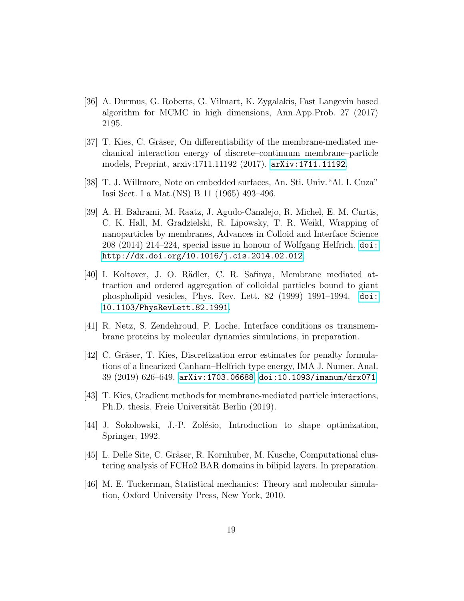- <span id="page-18-0"></span>[36] A. Durmus, G. Roberts, G. Vilmart, K. Zygalakis, Fast Langevin based algorithm for MCMC in high dimensions, Ann.App.Prob. 27 (2017) 2195.
- <span id="page-18-1"></span>[37] T. Kies, C. Gräser, On differentiability of the membrane-mediated mechanical interaction energy of discrete–continuum membrane–particle models, Preprint, arxiv:1711.11192 (2017). [arXiv:1711.11192](http://arxiv.org/abs/1711.11192).
- <span id="page-18-2"></span>[38] T. J. Willmore, Note on embedded surfaces, An. Sti. Univ."Al. I. Cuza" Iasi Sect. I a Mat.(NS) B 11 (1965) 493–496.
- <span id="page-18-3"></span>[39] A. H. Bahrami, M. Raatz, J. Agudo-Canalejo, R. Michel, E. M. Curtis, C. K. Hall, M. Gradzielski, R. Lipowsky, T. R. Weikl, Wrapping of nanoparticles by membranes, Advances in Colloid and Interface Science 208 (2014) 214–224, special issue in honour of Wolfgang Helfrich. [doi:](https://doi.org/http://dx.doi.org/10.1016/j.cis.2014.02.012) [http://dx.doi.org/10.1016/j.cis.2014.02.012](https://doi.org/http://dx.doi.org/10.1016/j.cis.2014.02.012).
- <span id="page-18-4"></span>[40] I. Koltover, J. O. R¨adler, C. R. Safinya, Membrane mediated attraction and ordered aggregation of colloidal particles bound to giant phospholipid vesicles, Phys. Rev. Lett. 82 (1999) 1991–1994. [doi:](https://doi.org/10.1103/PhysRevLett.82.1991) [10.1103/PhysRevLett.82.1991](https://doi.org/10.1103/PhysRevLett.82.1991).
- <span id="page-18-5"></span>[41] R. Netz, S. Zendehroud, P. Loche, Interface conditions os transmembrane proteins by molecular dynamics simulations, in preparation.
- <span id="page-18-6"></span>[42] C. Gräser, T. Kies, Discretization error estimates for penalty formulations of a linearized Canham–Helfrich type energy, IMA J. Numer. Anal. 39 (2019) 626–649. [arXiv:1703.06688](http://arxiv.org/abs/1703.06688), [doi:10.1093/imanum/drx071](https://doi.org/10.1093/imanum/drx071).
- <span id="page-18-7"></span>[43] T. Kies, Gradient methods for membrane-mediated particle interactions, Ph.D. thesis, Freie Universität Berlin (2019).
- <span id="page-18-8"></span>[44] J. Sokolowski, J.-P. Zolésio, Introduction to shape optimization, Springer, 1992.
- <span id="page-18-9"></span>[45] L. Delle Site, C. Gräser, R. Kornhuber, M. Kusche, Computational clustering analysis of FCHo2 BAR domains in bilipid layers. In preparation.
- <span id="page-18-10"></span>[46] M. E. Tuckerman, Statistical mechanics: Theory and molecular simulation, Oxford University Press, New York, 2010.